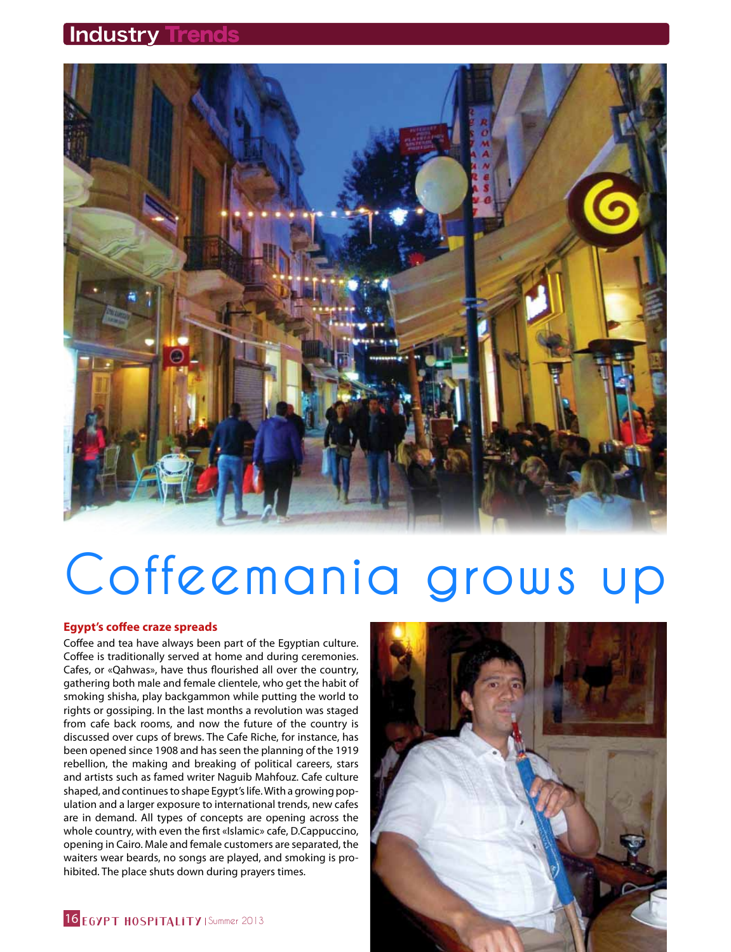**Industry Trends** 



# **Coffeemania grows up**

# **Egypt's coffee craze spreads**

Coffee and tea have always been part of the Egyptian culture. Coffee is traditionally served at home and during ceremonies. Cafes, or «Qahwas», have thus flourished all over the country, gathering both male and female clientele, who get the habit of smoking shisha, play backgammon while putting the world to rights or gossiping. In the last months a revolution was staged from cafe back rooms, and now the future of the country is discussed over cups of brews. The Cafe Riche, for instance, has been opened since 1908 and has seen the planning of the 1919 rebellion, the making and breaking of political careers, stars and artists such as famed writer Naguib Mahfouz. Cafe culture shaped, and continues to shape Egypt's life. With a growing population and a larger exposure to international trends, new cafes are in demand. All types of concepts are opening across the whole country, with even the first «Islamic» cafe, D.Cappuccino, opening in Cairo. Male and female customers are separated, the waiters wear beards, no songs are played, and smoking is prohibited. The place shuts down during prayers times.